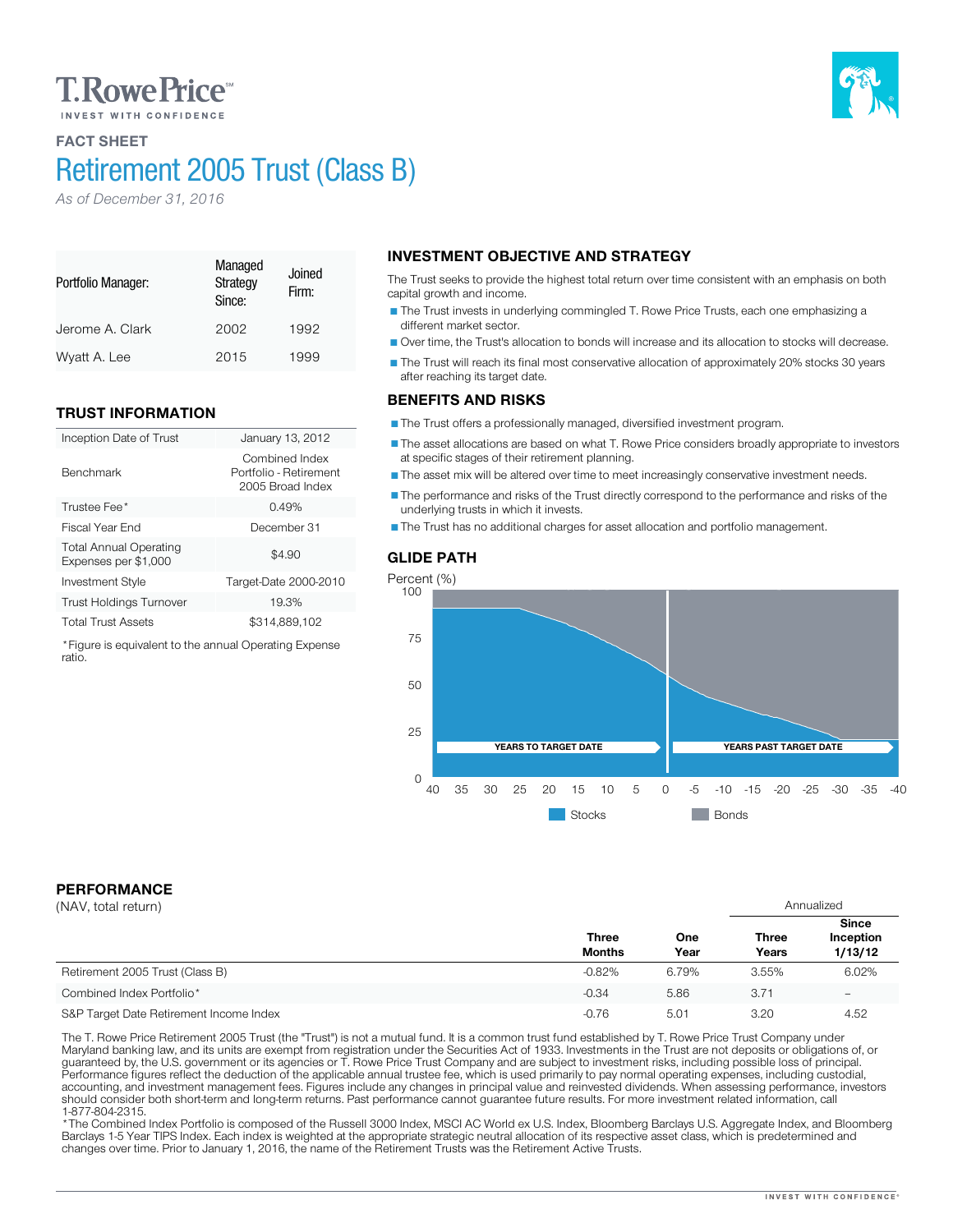# **T. Rowe Price**

## FACT SHEET

# Retirement 2005 Trust (Class B)

*As of December 31, 2016*

#### Portfolio Manager: Managed **Strategy** Since: Joined Firm: Jerome A. Clark 2002 1992

# TRUST INFORMATION

| Inception Date of Trust                               | January 13, 2012                                             |
|-------------------------------------------------------|--------------------------------------------------------------|
| <b>Benchmark</b>                                      | Combined Index<br>Portfolio - Retirement<br>2005 Broad Index |
| Trustee Fee*                                          | 0.49%                                                        |
| Fiscal Year End                                       | December 31                                                  |
| <b>Total Annual Operating</b><br>Expenses per \$1,000 | \$4.90                                                       |
| <b>Investment Style</b>                               | Target-Date 2000-2010                                        |
| <b>Trust Holdings Turnover</b>                        | 19.3%                                                        |
| <b>Total Trust Assets</b>                             | \$314.889.102                                                |
|                                                       |                                                              |

Wyatt A. Lee 2015 1999

\*Figure is equivalent to the annual Operating Expense ratio.

# INVESTMENT OBJECTIVE AND STRATEGY

The Trust seeks to provide the highest total return over time consistent with an emphasis on both capital growth and income.

The Trust invests in underlying commingled T. Rowe Price Trusts, each one emphasizing a different market sector.

Over time, the Trust's allocation to bonds will increase and its allocation to stocks will decrease.

The Trust will reach its final most conservative allocation of approximately 20% stocks 30 years after reaching its target date.

## BENEFITS AND RISKS

The Trust offers a professionally managed, diversified investment program.

The asset allocations are based on what T. Rowe Price considers broadly appropriate to investors at specific stages of their retirement planning.

The asset mix will be altered over time to meet increasingly conservative investment needs.

The performance and risks of the Trust directly correspond to the performance and risks of the underlying trusts in which it invests.

The Trust has no additional charges for asset allocation and portfolio management.

## GLIDE PATH



# PERFORMANCE

| (NAV, total return)                     |                               |             | Annualized            |                                      |
|-----------------------------------------|-------------------------------|-------------|-----------------------|--------------------------------------|
|                                         | <b>Three</b><br><b>Months</b> | One<br>Year | <b>Three</b><br>Years | <b>Since</b><br>Inception<br>1/13/12 |
| Retirement 2005 Trust (Class B)         | $-0.82%$                      | 6.79%       | 3.55%                 | 6.02%                                |
| Combined Index Portfolio*               | $-0.34$                       | 5.86        | 3.71                  | $\overline{\phantom{0}}$             |
| S&P Target Date Retirement Income Index | $-0.76$                       | 5.01        | 3.20                  | 4.52                                 |

The T. Rowe Price Retirement 2005 Trust (the "Trust") is not a mutual fund. It is a common trust fund established by T. Rowe Price Trust Company under<br>Maryland banking law, and its units are exempt from registration under should consider both short-term and long-term returns. Past performance cannot guarantee future results. For more investment related information, call

\* The Combined Index Portfolio is composed of the Russell 3000 Index, MSCI AC World ex U.S. Index, Bloomberg Barclays U.S. Aggregate Index, and Bloomberg Barclays 1-5 Year TIPS Index. Each index is weighted at the appropriate strategic neutral allocation of its respective asset class, which is predetermined and changes over time. Prior to January 1, 2016, the name of the Retirement Trusts was the Retirement Active Trusts.

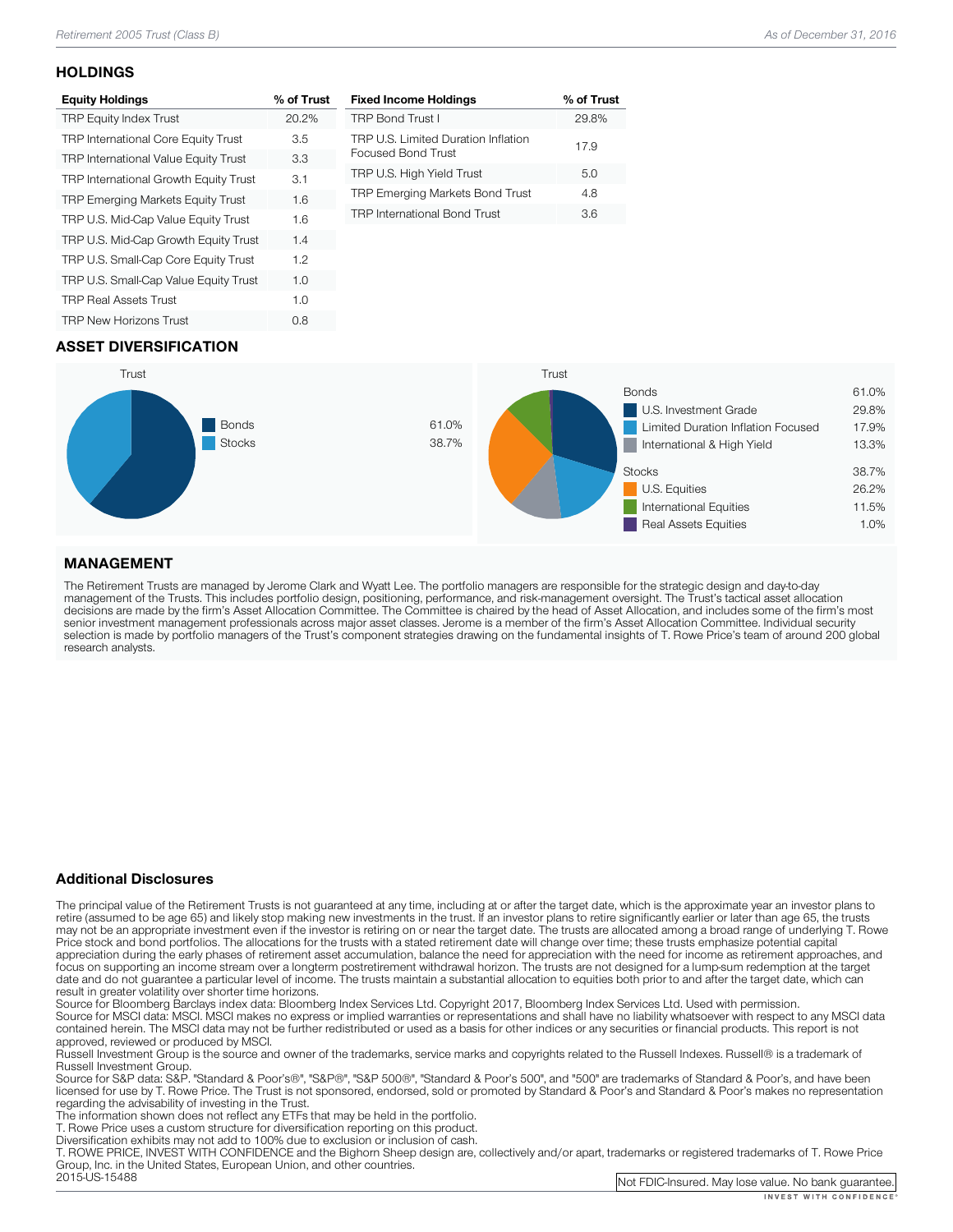## **HOLDINGS**

| <b>Equity Holdings</b>                      | % of Trust |
|---------------------------------------------|------------|
| <b>TRP Equity Index Trust</b>               | 20.2%      |
| <b>TRP International Core Equity Trust</b>  | 3.5        |
| <b>TRP International Value Equity Trust</b> | 3.3        |
| TRP International Growth Equity Trust       | 3.1        |
| <b>TRP Emerging Markets Equity Trust</b>    | 1.6        |
| TRP U.S. Mid-Cap Value Equity Trust         | 1.6        |
| TRP U.S. Mid-Cap Growth Equity Trust        | 1.4        |
| TRP U.S. Small-Cap Core Equity Trust        | 1.2        |
| TRP U.S. Small-Cap Value Equity Trust       | 1.0        |
| <b>TRP Real Assets Trust</b>                | 1.0        |
| <b>TRP New Horizons Trust</b>               | 0.8        |
|                                             |            |

| % of Trust |
|------------|
| 29.8%      |
| 17.9       |
| 5.0        |
| 4.8        |
| 36         |
|            |

## ASSET DIVERSIFICATION



## MANAGEMENT

The Retirement Trusts are managed by Jerome Clark and Wyatt Lee. The portfolio managers are responsible for the strategic design and day-to-day<br>management of the Trusts. This includes portfolio design, positioning, perform research analysts.

### Additional Disclosures

The principal value of the Retirement Trusts is not guaranteed at any time, including at or after the target date, which is the approximate year an investor plans to retire (assumed to be age 65) and likely stop making new may not be an appropriate investment even if the investor is retiring on or near the target date. The trusts are allocated among a broad range of underlying T. Rowe<br>Price stock and bond portfolios. The allocations for the focus on supporting an income stream over a longterm postretirement withdrawal horizon. The trusts are not designed for a lump-sum redemption at the target date and do not guarantee a particular level of income. The trusts maintain a substantial allocation to equities both prior to and after the target date, which can result in greater volatility over shorter time horizons.

Source for Bloomberg Barclays index data: Bloomberg Index Services Ltd. Copyright 2017, Bloomberg Index Services Ltd. Used with permission.<br>Source for MSCI data: MSCI. MSCI makes no express or implied warranties or represe

approved, reviewed or produced by MSCI.<br>Russell Investment Group is the source and owner of the trademarks, service marks and copyrights related to the Russell Indexes. Russell® is a trademark of<br>Russell Investment Group.

Source for S&P data: S&P. "Standard & Poor's®", "S&P®", "S&P 500®", "Standard & Poor's 500", and "500" are trademarks of Standard & Poor's, and have been licensed for use by T. Rowe Price. The Trust is not sponsored, endorsed, sold or promoted by Standard & Poor's and Standard & Poor's makes no representation<br>regarding the advisability of investing in the Trust.

The information shown does not reflect any ETFs that may be held in the portfolio.<br>T. Rowe Price uses a custom structure for diversification reporting on this product.<br>Diversification exhibits may not add to 100% due to ex